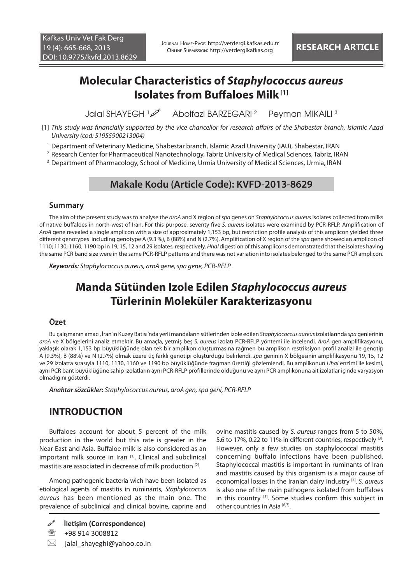# **Molecular Characteristics of** *Staphylococcus aureus* **Isolates from Buffaloes Milk [1]**

Jalal SHAYEGH 1 Abolfazl BARZEGARI 2 Peyman MIKAILI 3

- [1] *This study was financially supported by the vice chancellor for research affairs of the Shabestar branch, Islamic Azad University (cod: 51955900213004)*
- 1 Department of Veterinary Medicine, Shabestar branch, Islamic Azad University (IAU), Shabestar, IRAN
- 2 Research Center for Pharmaceutical Nanotechnology, Tabriz University of Medical Sciences, Tabriz, IRAN
- 3 Department of Pharmacology, School of Medicine, Urmia University of Medical Sciences, Urmia, IRAN

## **Makale Kodu (Article Code): KVFD-2013-8629**

### **Summary**

The aim of the present study was to analyse the *aroA* and X region of *spa* genes on *Staphylococcus aureus* isolates collected from milks of native buffaloes in north-west of Iran. For this purpose, seventy five *S. aureus* isolates were examined by PCR-RFLP. Amplification of *AroA* gene revealed a single amplicon with a size of approximately 1,153 bp, but restriction profile analysis of this amplicon yielded three different genotypes including genotype A (9.3 %), B (88%) and N (2.7%). Amplification of X region of the *spa* gene showed an amplicon of 1110; 1130; 1160; 1190 bp in 19, 15, 12 and 29 isolates, respectively. *HhaI* digestion of this amplicons demonstrated that the isolates having the same PCR band size were in the same PCR-RFLP patterns and there was not variation into isolates belonged to the same PCR amplicon.

*Keywords: Staphylococcus aureus, aroA gene, spa gene, PCR-RFLP*

# **Manda Sütünden Izole Edilen** *Staphylococcus aureus* **Türlerinin Moleküler Karakterizasyonu**

## **Özet**

Bu çalışmanın amacı, İran'ın Kuzey Batısı'nda yerli mandaların sütlerinden izole edilen *Staphylococcus aureus* izolatlarında *spa* genlerinin *aroA* ve X bölgelerini analiz etmektir. Bu amaçla, yetmiş beş *S. aureus* izolatı PCR-RFLP yöntemi ile incelendi. *AroA* gen amplifikasyonu, yaklaşık olarak 1,153 bp büyüklüğünde olan tek bir amplikon oluşturmasına rağmen bu amplikon restriksiyon profil analizi ile genotip A (9.3%), B (88%) ve N (2.7%) olmak üzere üç farklı genotipi oluşturduğu belirlendi. *spa* geninin X bölgesinin amplifikasyonu 19, 15, 12 ve 29 izolatta sırasıyla 1110, 1130, 1160 ve 1190 bp büyüklüğünde fragman ürettiği gözlemlendi. Bu amplikonun *HhaI* enzimi ile kesimi, aynı PCR bant büyüklüğüne sahip izolatların aynı PCR-RFLP profillerinde olduğunu ve aynı PCR amplikonuna ait izolatlar içinde varyasyon olmadığını gösterdi.

*Anahtar sözcükler: Staphylococcus aureus, aroA gen, spa geni, PCR-RFLP*

# **INTRODUCTION**

Buffaloes account for about 5 percent of the milk production in the world but this rate is greater in the Near East and Asia. Buffaloe milk is also considered as an important milk source in Iran [1]. Clinical and subclinical mastitis are associated in decrease of milk production [2].

Among pathogenic bacteria wich have been isolated as etiological agents of mastitis in ruminants, *Staphylococcus aureus* has been mentioned as the main one. The prevalence of subclinical and clinical bovine, caprine and

图 +98 914 3008812

 $\boxtimes$  jalal shayeghi@yahoo.co.in

ovine mastitis caused by *S. aureus* ranges from 5 to 50%, 5.6 to 17%, 0.22 to 11% in different countries, respectively [3]. However, only a few studies on staphylococcal mastitis concerning buffalo infections have been published. Staphylococcal mastitis is important in ruminants of Iran and mastitis caused by this organism is a major cause of economical losses in the Iranian dairy industry [4]. *S. aureus* is also one of the main pathogens isolated from buffaloes in this country [5]. Some studies confirm this subject in other countries in Asia [6,7].

**İletişim (Correspondence)**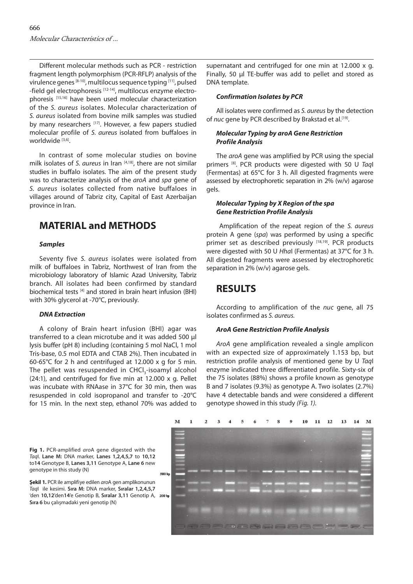Different molecular methods such as PCR - restriction fragment length polymorphism (PCR-RFLP) analysis of the virulence genes [8-10], multilocus sequence typing [11], pulsed -field gel electrophoresis<sup>[12-14]</sup>, multilocus enzyme electrophoresis [15,16] have been used molecular characterization of the *S. aureus* isolates. Molecular characterization of *S. aureus* isolated from bovine milk samples was studied by many researchers [17]. However, a few papers studied molecular profile of *S. aureus* isolated from buffaloes in worldwide [3,6].

In contrast of some molecular studies on bovine milk isolates of *S. aureus* in Iran [4,18], there are not similar studies in buffalo isolates. The aim of the present study was to characterize analysis of the *aroA* and *spa* gene of *S. aureus* isolates collected from native buffaloes in villages around of Tabriz city, Capital of East Azerbaijan province in Iran.

## **MATERIAL and METHODS**

#### *Samples*

Seventy five *S. aureus* isolates were isolated from milk of buffaloes in Tabriz, Northwest of Iran from the microbiology laboratory of Islamic Azad University, Tabriz branch. All isolates had been confirmed by standard biochemical tests [4] and stored in brain heart infusion (BHI) with 30% glycerol at -70°C, previously.

#### *DNA Extraction*

A colony of Brain heart infusion (BHI) agar was transferred to a clean microtube and it was added 500 µ lysis buffer (pH 8) including (containing 5 mol NaCl, 1 mol Tris-base, 0.5 mol EDTA and CTAB 2%). Then incubated in 60-65°C for 2 h and centrifuged at 12.000 x g for 5 min. The pellet was resuspended in CHCl<sub>2</sub>-isoamyl alcohol (24:1), and centrifuged for five min at 12.000 x g. Pellet was incubate with RNAase in 37°C for 30 min, then was resuspended in cold isopropanol and transfer to -20°C for 15 min. In the next step, ethanol 70% was added to

supernatant and centrifuged for one min at 12.000 x g. Finally, 50 μl TE-buffer was add to pellet and stored as DNA template.

#### *Confirmation Isolates by PCR*

All isolates were confirmed as *S. aureus* by the detection of *nuc* gene by PCR described by Brakstad et al.<sup>[19]</sup>.

#### *Molecular Typing by aroA Gene Restriction Profile Analysis*

The *aroA* gene was amplified by PCR using the special primers [8]. PCR products were digested with 50 U *Taq*I (Fermentas) at 65°C for 3 h. All digested fragments were assessed by electrophoretic separation in 2% (w/v) agarose gels.

#### *Molecular Typing by X Region of the spa Gene Restriction Profile Analysis*

 Amplification of the repeat region of the *S. aureus* protein A gene (*spa*) was performed by using a specific primer set as described previously [18,19]. PCR products were digested with 50 U *Hha*I (Fermentas) at 37°C for 3 h. All digested fragments were assessed by electrophoretic separation in 2% (w/v) agarose gels.

# **RESULTS**

According to amplification of the *nuc* gene, all 75 isolates confirmed as *S. aureus.*

#### *AroA Gene Restriction Profile Analysis*

*AroA* gene amplification revealed a single amplicon with an expected size of approximately 1.153 bp, but restriction profile analysis of mentioned gene by U *Taq*I enzyme indicated three differentiated profile. Sixty-six of the 75 isolates (88%) shows a profile known as genotype B and 7 isolates (9.3%) as genotype A. Two isolates (2.7%) have 4 detectable bands and were considered a different genotype showed in this study *(Fig. 1).*



**Fig 1.** PCR-amplified *aro*A gene digested with the *Taq*I. **Lane M:** DNA marker, **Lanes 1,2,4,5,7** to **10,12** to**14** Genotype B, **Lanes 3,11** Genotype A, **Lane 6** new genotype in this study (N)

**Şekil 1.** PCR ile amplifiye edilen *aro*A gen amplikonunun *Taq*I ile kesimi. **Sıra M:** DNA marker, **Sıralar 1,2,4,5,7**  'den **10,12**'den**14**'e Genotip B, **Sıralar 3,11** Genotip A, **Sıra 6** bu çalışmadaki yeni genotip (N)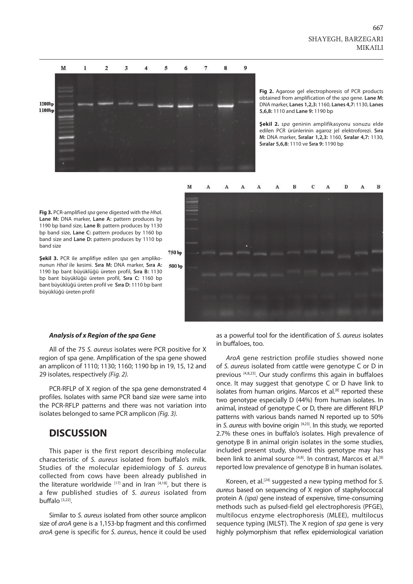

**Fig 2.** Agarose gel electrophoresis of PCR products obtained from amplification of the *spa* gene. **Lane M:**  DNA marker, **Lanes 1,2,3:** 1160, **Lanes 4,7:** 1130, **Lanes 5,6,8:** 1110 and **Lane 9:** 1190 bp

**Şekil 2.** *spa* geninin amplifikasyonu sonuzu elde edilen PCR ürünlerinin agaroz jel elektroforezi. **Sıra M:** DNA marker, **Sıralar 1,2,3:** 1160, **Sıralar 4,7:** 1130, **Sıralar 5,6,8:** 1110 ve **Sıra 9:** 1190 bp



**Fig 3.** PCR-amplified *spa* gene digested with the *Hha*I. **Lane M:** DNA marker, **Lane A:** pattern produces by 1190 bp band size, **Lane B:** pattern produces by 1130 bp band size, **Lane C:** pattern produces by 1160 bp band size and **Lane D:** pattern produces by 1110 bp band size

750 bp

**Şekil 3.** PCR ile amplifiye edilen *spa* gen amplikonunun *HhaI* ile kesimi. **Sıra M:** DNA marker, **Sıra A:** 1190 bp bant büyüklüğü üreten profil, **Sıra B:** 1130 bp bant büyüklüğü üreten profil, **Sıra C:** 1160 bp bant büyüklüğü üreten profil ve **Sıra D:** 1110 bp bant büyüklüğü üreten profil

#### *Analysis of x Region of the spa Gene*

All of the 75 *S. aureus* isolates were PCR positive for X region of spa gene. Amplification of the spa gene showed an amplicon of 1110; 1130; 1160; 1190 bp in 19, 15, 12 and 29 isolates, respectively *(Fig. 2).*

PCR-RFLP of X region of the spa gene demonstrated 4 profiles. Isolates with same PCR band size were same into the PCR-RFLP patterns and there was not variation into isolates belonged to same PCR amplicon *(Fig. 3).*

### **DISCUSSION**

This paper is the first report describing molecular characteristic of *S. aureus* isolated from buffalo's milk. Studies of the molecular epidemiology of *S. aureus* collected from cows have been already published in the literature worldwide  $[17]$  and in Iran  $[4,18]$ , but there is a few published studies of *S. aureus* isolated from buffalo [3,22].

Similar to *S. aureus* isolated from other source amplicon size of *aroA* gene is a 1,153-bp fragment and this confirmed *aroA* gene is specific for *S. aureus*, hence it could be used as a powerful tool for the identification of *S. aureus* isolates in buffaloes, too.

*AroA* gene restriction profile studies showed none of *S. aureus* isolated from cattle were genotype C or D in previous [4,8,23]. Our study confirms this again in buffaloes once. It may suggest that genotype C or D have link to isolates from human origins. Marcos et al.<sup>[8]</sup> reported these two genotype especially D (44%) from human isolates. In animal, instead of genotype C or D, there are different RFLP patterns with various bands named N reported up to 50% in *S. aureus* with bovine origin [4,23]. In this study, we reported 2.7% these ones in buffalo's isolates. High prevalence of genotype B in animal origin isolates in the some studies, included present study, showed this genotype may has been link to animal source [4,8]. In contrast, Marcos et al.[8] reported low prevalence of genotype B in human isolates.

Koreen, et al.[24] suggested a new typing method for *S. aureus* based on sequencing of X region of staphylococcal protein A *(spa)* gene instead of expensive, time-consuming methods such as pulsed-field gel electrophoresis (PFGE), multilocus enzyme electrophoresis (MLEE), multilocus sequence typing (MLST). The X region of *spa* gene is very highly polymorphism that reflex epidemiological variation